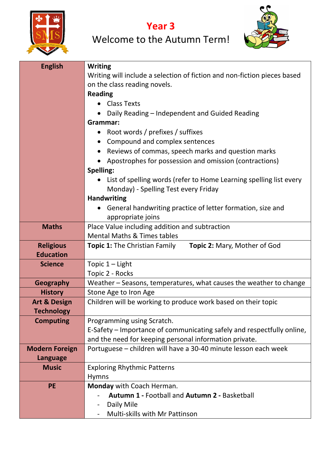

**Year 3**

| <b>English</b>          | <b>Writing</b>                                                              |
|-------------------------|-----------------------------------------------------------------------------|
|                         | Writing will include a selection of fiction and non-fiction pieces based    |
|                         | on the class reading novels.                                                |
|                         | <b>Reading</b>                                                              |
|                         | <b>Class Texts</b>                                                          |
|                         | Daily Reading - Independent and Guided Reading                              |
|                         | Grammar:                                                                    |
|                         | • Root words / prefixes / suffixes                                          |
|                         | Compound and complex sentences                                              |
|                         | Reviews of commas, speech marks and question marks                          |
|                         | Apostrophes for possession and omission (contractions)                      |
|                         | Spelling:                                                                   |
|                         | List of spelling words (refer to Home Learning spelling list every          |
|                         | Monday) - Spelling Test every Friday                                        |
|                         | <b>Handwriting</b>                                                          |
|                         | General handwriting practice of letter formation, size and                  |
|                         | appropriate joins                                                           |
| <b>Maths</b>            | Place Value including addition and subtraction                              |
|                         | <b>Mental Maths &amp; Times tables</b>                                      |
| <b>Religious</b>        | <b>Topic 2: Mary, Mother of God</b><br><b>Topic 1:</b> The Christian Family |
| <b>Education</b>        |                                                                             |
| <b>Science</b>          | Topic $1 -$ Light                                                           |
|                         | Topic 2 - Rocks                                                             |
| <b>Geography</b>        | Weather – Seasons, temperatures, what causes the weather to change          |
| <b>History</b>          | Stone Age to Iron Age                                                       |
| <b>Art &amp; Design</b> | Children will be working to produce work based on their topic               |
| <b>Technology</b>       |                                                                             |
| <b>Computing</b>        | Programming using Scratch.                                                  |
|                         | E-Safety – Importance of communicating safely and respectfully online,      |
|                         | and the need for keeping personal information private.                      |
| <b>Modern Foreign</b>   | Portuguese - children will have a 30-40 minute lesson each week             |
| Language                |                                                                             |
| <b>Music</b>            | <b>Exploring Rhythmic Patterns</b>                                          |
|                         | <b>Hymns</b>                                                                |
| <b>PE</b>               | Monday with Coach Herman.                                                   |
|                         | <b>Autumn 1 - Football and Autumn 2 - Basketball</b>                        |
|                         | Daily Mile<br>۰                                                             |
|                         | Multi-skills with Mr Pattinson                                              |